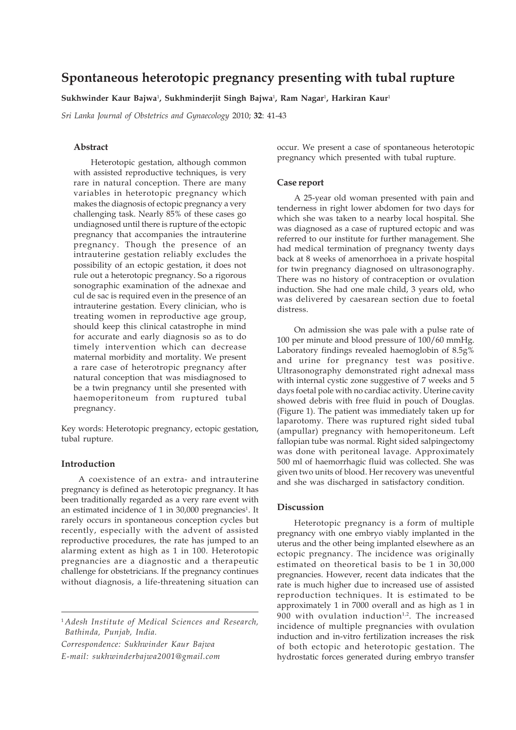# **Spontaneous heterotopic pregnancy presenting with tubal rupture**

**Sukhwinder Kaur Bajwa**<sup>1</sup> **, Sukhminderjit Singh Bajwa**<sup>1</sup> **, Ram Nagar**<sup>1</sup> **, Harkiran Kaur**<sup>1</sup>

*Sri Lanka Journal of Obstetrics and Gynaecology* 2010; **32**: 41-43

# **Abstract**

Heterotopic gestation, although common with assisted reproductive techniques, is very rare in natural conception. There are many variables in heterotopic pregnancy which makes the diagnosis of ectopic pregnancy a very challenging task. Nearly 85% of these cases go undiagnosed until there is rupture of the ectopic pregnancy that accompanies the intrauterine pregnancy. Though the presence of an intrauterine gestation reliably excludes the possibility of an ectopic gestation, it does not rule out a heterotopic pregnancy. So a rigorous sonographic examination of the adnexae and cul de sac is required even in the presence of an intrauterine gestation. Every clinician, who is treating women in reproductive age group, should keep this clinical catastrophe in mind for accurate and early diagnosis so as to do timely intervention which can decrease maternal morbidity and mortality. We present a rare case of heterotropic pregnancy after natural conception that was misdiagnosed to be a twin pregnancy until she presented with haemoperitoneum from ruptured tubal pregnancy.

Key words: Heterotopic pregnancy, ectopic gestation, tubal rupture.

#### **Introduction**

A coexistence of an extra- and intrauterine pregnancy is defined as heterotopic pregnancy. It has been traditionally regarded as a very rare event with an estimated incidence of 1 in 30,000 pregnancies<sup>1</sup>. It rarely occurs in spontaneous conception cycles but recently, especially with the advent of assisted reproductive procedures, the rate has jumped to an alarming extent as high as 1 in 100. Heterotopic pregnancies are a diagnostic and a therapeutic challenge for obstetricians. If the pregnancy continues without diagnosis, a life-threatening situation can

<sup>1</sup> *Adesh Institute of Medical Sciences and Research, Bathinda, Punjab, India.*

*Correspondence: Sukhwinder Kaur Bajwa E-mail: sukhwinderbajwa2001@gmail.com* occur. We present a case of spontaneous heterotopic pregnancy which presented with tubal rupture.

#### **Case report**

A 25-year old woman presented with pain and tenderness in right lower abdomen for two days for which she was taken to a nearby local hospital. She was diagnosed as a case of ruptured ectopic and was referred to our institute for further management. She had medical termination of pregnancy twenty days back at 8 weeks of amenorrhoea in a private hospital for twin pregnancy diagnosed on ultrasonography. There was no history of contraception or ovulation induction. She had one male child, 3 years old, who was delivered by caesarean section due to foetal distress.

On admission she was pale with a pulse rate of 100 per minute and blood pressure of 100/60 mmHg. Laboratory findings revealed haemoglobin of 8.5g% and urine for pregnancy test was positive. Ultrasonography demonstrated right adnexal mass with internal cystic zone suggestive of 7 weeks and 5 days foetal pole with no cardiac activity. Uterine cavity showed debris with free fluid in pouch of Douglas. (Figure 1). The patient was immediately taken up for laparotomy. There was ruptured right sided tubal (ampullar) pregnancy with hemoperitoneum. Left fallopian tube was normal. Right sided salpingectomy was done with peritoneal lavage. Approximately 500 ml of haemorrhagic fluid was collected. She was given two units of blood. Her recovery was uneventful and she was discharged in satisfactory condition.

## **Discussion**

Heterotopic pregnancy is a form of multiple pregnancy with one embryo viably implanted in the uterus and the other being implanted elsewhere as an ectopic pregnancy. The incidence was originally estimated on theoretical basis to be 1 in 30,000 pregnancies. However, recent data indicates that the rate is much higher due to increased use of assisted reproduction techniques. It is estimated to be approximately 1 in 7000 overall and as high as 1 in 900 with ovulation induction $1,2$ . The increased incidence of multiple pregnancies with ovulation induction and in-vitro fertilization increases the risk of both ectopic and heterotopic gestation. The hydrostatic forces generated during embryo transfer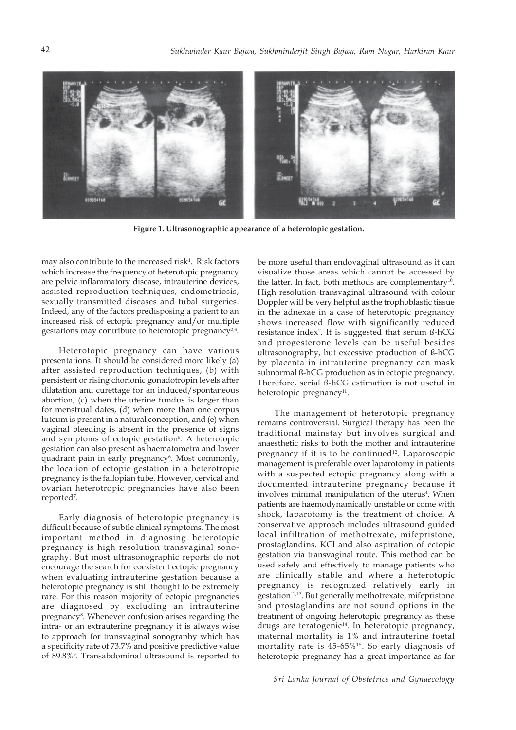

**Figure 1. Ultrasonographic appearance of a heterotopic gestation.**

may also contribute to the increased risk<sup>1</sup>. Risk factors which increase the frequency of heterotopic pregnancy are pelvic inflammatory disease, intrauterine devices, assisted reproduction techniques, endometriosis, sexually transmitted diseases and tubal surgeries. Indeed, any of the factors predisposing a patient to an increased risk of ectopic pregnancy and/or multiple gestations may contribute to heterotopic pregnancy3,4.

Heterotopic pregnancy can have various presentations. It should be considered more likely (a) after assisted reproduction techniques, (b) with persistent or rising chorionic gonadotropin levels after dilatation and curettage for an induced/spontaneous abortion, (c) when the uterine fundus is larger than for menstrual dates, (d) when more than one corpus luteum is present in a natural conception, and (e) when vaginal bleeding is absent in the presence of signs and symptoms of ectopic gestation<sup>5</sup>. A heterotopic gestation can also present as haematometra and lower quadrant pain in early pregnancy<sup>6</sup>. Most commonly, the location of ectopic gestation in a heterotropic pregnancy is the fallopian tube. However, cervical and ovarian heterotropic pregnancies have also been reported7 .

Early diagnosis of heterotopic pregnancy is difficult because of subtle clinical symptoms. The most important method in diagnosing heterotopic pregnancy is high resolution transvaginal sonography. But most ultrasonographic reports do not encourage the search for coexistent ectopic pregnancy when evaluating intrauterine gestation because a heterotopic pregnancy is still thought to be extremely rare. For this reason majority of ectopic pregnancies are diagnosed by excluding an intrauterine pregnancy<sup>8</sup>. Whenever confusion arises regarding the intra- or an extrauterine pregnancy it is always wise to approach for transvaginal sonography which has a specificity rate of 73.7% and positive predictive value of 89.8%9 . Transabdominal ultrasound is reported to

be more useful than endovaginal ultrasound as it can visualize those areas which cannot be accessed by the latter. In fact, both methods are complementary<sup>10</sup>. High resolution transvaginal ultrasound with colour Doppler will be very helpful as the trophoblastic tissue in the adnexae in a case of heterotopic pregnancy shows increased flow with significantly reduced resistance index<sup>2</sup>. It is suggested that serum ß-hCG and progesterone levels can be useful besides ultrasonography, but excessive production of ß-hCG by placenta in intrauterine pregnancy can mask subnormal ß-hCG production as in ectopic pregnancy. Therefore, serial ß-hCG estimation is not useful in heterotopic pregnancy<sup>11</sup>.

The management of heterotopic pregnancy remains controversial. Surgical therapy has been the traditional mainstay but involves surgical and anaesthetic risks to both the mother and intrauterine pregnancy if it is to be continued<sup>12</sup>. Laparoscopic management is preferable over laparotomy in patients with a suspected ectopic pregnancy along with a documented intrauterine pregnancy because it involves minimal manipulation of the uterus<sup>4</sup>. When patients are haemodynamically unstable or come with shock, laparotomy is the treatment of choice. A conservative approach includes ultrasound guided local infiltration of methotrexate, mifepristone, prostaglandins, KCl and also aspiration of ectopic gestation via transvaginal route. This method can be used safely and effectively to manage patients who are clinically stable and where a heterotopic pregnancy is recognized relatively early in gestation<sup>12,13</sup>. But generally methotrexate, mifepristone and prostaglandins are not sound options in the treatment of ongoing heterotopic pregnancy as these drugs are teratogenic<sup>14</sup>. In heterotopic pregnancy, maternal mortality is 1% and intrauterine foetal mortality rate is 45-65%15. So early diagnosis of heterotopic pregnancy has a great importance as far